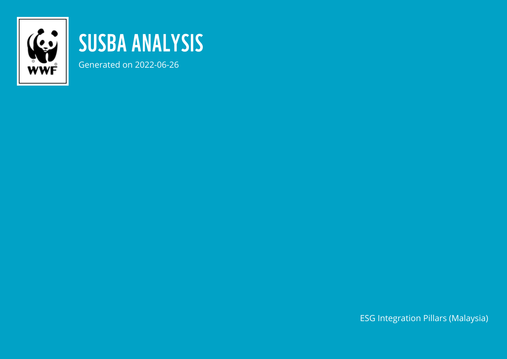

## SUSBA ANALYSIS

Generated on 2022-06-26

ESG Integration Pillars (Malaysia)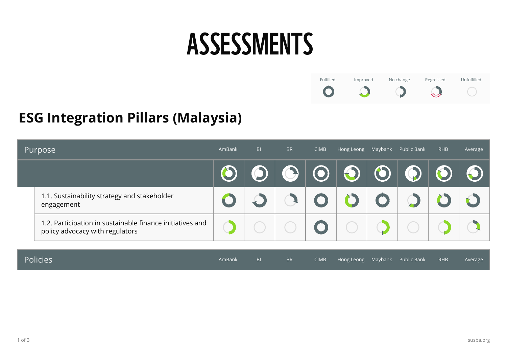## ASSESSMENTS



## **ESG Integration Pillars (Malaysia)**

| Purpose         |                                                                                              | AmBank | B <sub>l</sub> | <b>BR</b>  | <b>CIMB</b> |            |         | Hong Leong Maybank Public Bank | <b>RHB</b> | Average |
|-----------------|----------------------------------------------------------------------------------------------|--------|----------------|------------|-------------|------------|---------|--------------------------------|------------|---------|
|                 |                                                                                              |        |                | $\bigodot$ | $\odot$     | O          | $\odot$ |                                |            |         |
|                 | 1.1. Sustainability strategy and stakeholder<br>engagement                                   |        |                |            |             |            |         |                                |            |         |
|                 | 1.2. Participation in sustainable finance initiatives and<br>policy advocacy with regulators |        |                |            |             |            |         |                                |            |         |
|                 |                                                                                              |        |                |            |             |            |         |                                |            |         |
| <b>Policies</b> |                                                                                              | AmBank | B <sub>1</sub> | <b>BR</b>  | <b>CIMB</b> | Hong Leong | Maybank | Public Bank                    | <b>RHB</b> | Average |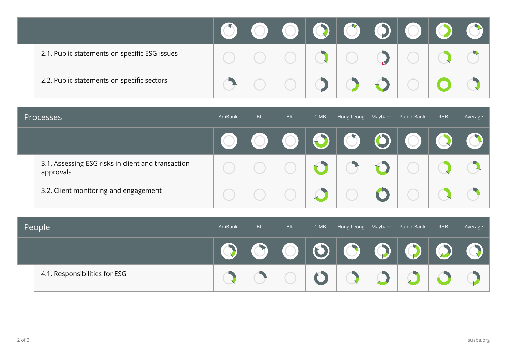| 2.1. Public statements on specific ESG issues |  |  |  |  |  |
|-----------------------------------------------|--|--|--|--|--|
| 2.2. Public statements on specific sectors    |  |  |  |  |  |

| Processes |                                                                 | AmBank | BI | <b>BR</b> | <b>CIMB</b> |  | Hong Leong Maybank Public Bank | <b>RHB</b> | Average |
|-----------|-----------------------------------------------------------------|--------|----|-----------|-------------|--|--------------------------------|------------|---------|
|           |                                                                 |        |    |           |             |  |                                |            |         |
|           | 3.1. Assessing ESG risks in client and transaction<br>approvals |        |    |           |             |  |                                |            |         |
|           | 3.2. Client monitoring and engagement                           |        |    |           |             |  |                                |            |         |

| People |                               | AmBank | BI | <b>BR</b> | <b>CIMB</b> |    | Hong Leong Maybank Public Bank | <b>RHB</b> | Average |
|--------|-------------------------------|--------|----|-----------|-------------|----|--------------------------------|------------|---------|
|        |                               |        |    |           |             | T) |                                |            |         |
|        | 4.1. Responsibilities for ESG |        |    |           |             |    |                                |            |         |